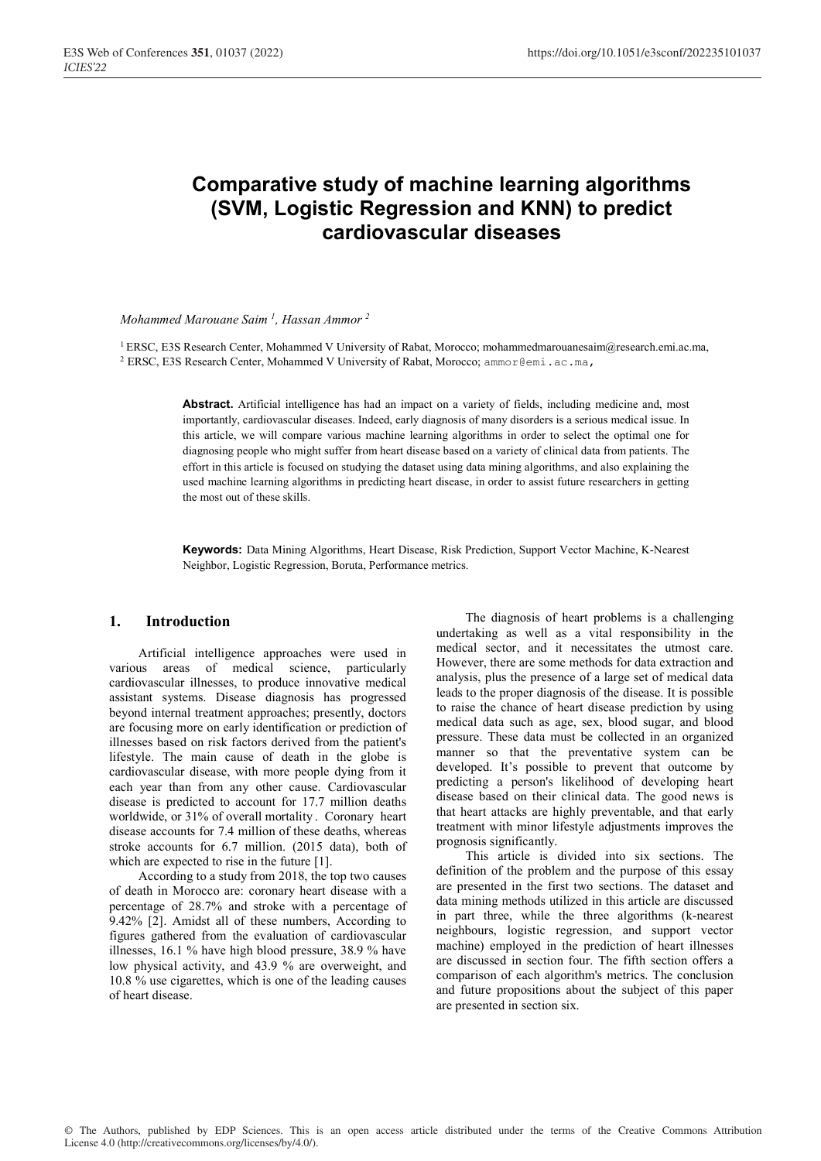# **Comparative study of machine learning algorithms (SVM, Logistic Regression and KNN) to predict cardiovascular diseases**

*Mohammed Marouane Saim 1 , Hassan Ammor 2*

1 ERSC, E3S Research Center, Mohammed V University of Rabat, Morocco; mohammedmarouanesaim@research.emi.ac.ma, 2 ERSC, E3S Research Center, Mohammed V University of Rabat, Morocco; ammor@emi.ac.ma,

> **Abstract.** Artificial intelligence has had an impact on a variety of fields, including medicine and, most importantly, cardiovascular diseases. Indeed, early diagnosis of many disorders is a serious medical issue. In this article, we will compare various machine learning algorithms in order to select the optimal one for diagnosing people who might suffer from heart disease based on a variety of clinical data from patients. The effort in this article is focused on studying the dataset using data mining algorithms, and also explaining the used machine learning algorithms in predicting heart disease, in order to assist future researchers in getting the most out of these skills.

> **Keywords:** Data Mining Algorithms, Heart Disease, Risk Prediction, Support Vector Machine, K-Nearest Neighbor, Logistic Regression, Boruta, Performance metrics.

## **1. Introduction**

Artificial intelligence approaches were used in various areas of medical science, particularly cardiovascular illnesses, to produce innovative medical assistant systems. Disease diagnosis has progressed beyond internal treatment approaches; presently, doctors are focusing more on early identification or prediction of illnesses based on risk factors derived from the patient's lifestyle. The main cause of death in the globe is cardiovascular disease, with more people dying from it each year than from any other cause. Cardiovascular disease is predicted to account for 17.7 million deaths worldwide, or 31% of overall mortality . Coronary heart disease accounts for 7.4 million of these deaths, whereas stroke accounts for 6.7 million. (2015 data), both of which are expected to rise in the future [1].

According to a study from 2018, the top two causes of death in Morocco are: coronary heart disease with a percentage of 28.7% and stroke with a percentage of 9.42% [2]. Amidst all of these numbers, According to figures gathered from the evaluation of cardiovascular illnesses, 16.1 % have high blood pressure, 38.9 % have low physical activity, and 43.9 % are overweight, and 10.8 % use cigarettes, which is one of the leading causes of heart disease.

The diagnosis of heart problems is a challenging undertaking as well as a vital responsibility in the medical sector, and it necessitates the utmost care. However, there are some methods for data extraction and analysis, plus the presence of a large set of medical data leads to the proper diagnosis of the disease. It is possible to raise the chance of heart disease prediction by using medical data such as age, sex, blood sugar, and blood pressure. These data must be collected in an organized manner so that the preventative system can be developed. It's possible to prevent that outcome by predicting a person's likelihood of developing heart disease based on their clinical data. The good news is that heart attacks are highly preventable, and that early treatment with minor lifestyle adjustments improves the prognosis significantly.

This article is divided into six sections. The definition of the problem and the purpose of this essay are presented in the first two sections. The dataset and data mining methods utilized in this article are discussed in part three, while the three algorithms (k-nearest neighbours, logistic regression, and support vector machine) employed in the prediction of heart illnesses are discussed in section four. The fifth section offers a comparison of each algorithm's metrics. The conclusion and future propositions about the subject of this paper are presented in section six.

© The Authors, published by EDP Sciences. This is an open access article distributed under the terms of the Creative Commons Attribution License 4.0 (http://creativecommons.org/licenses/by/4.0/).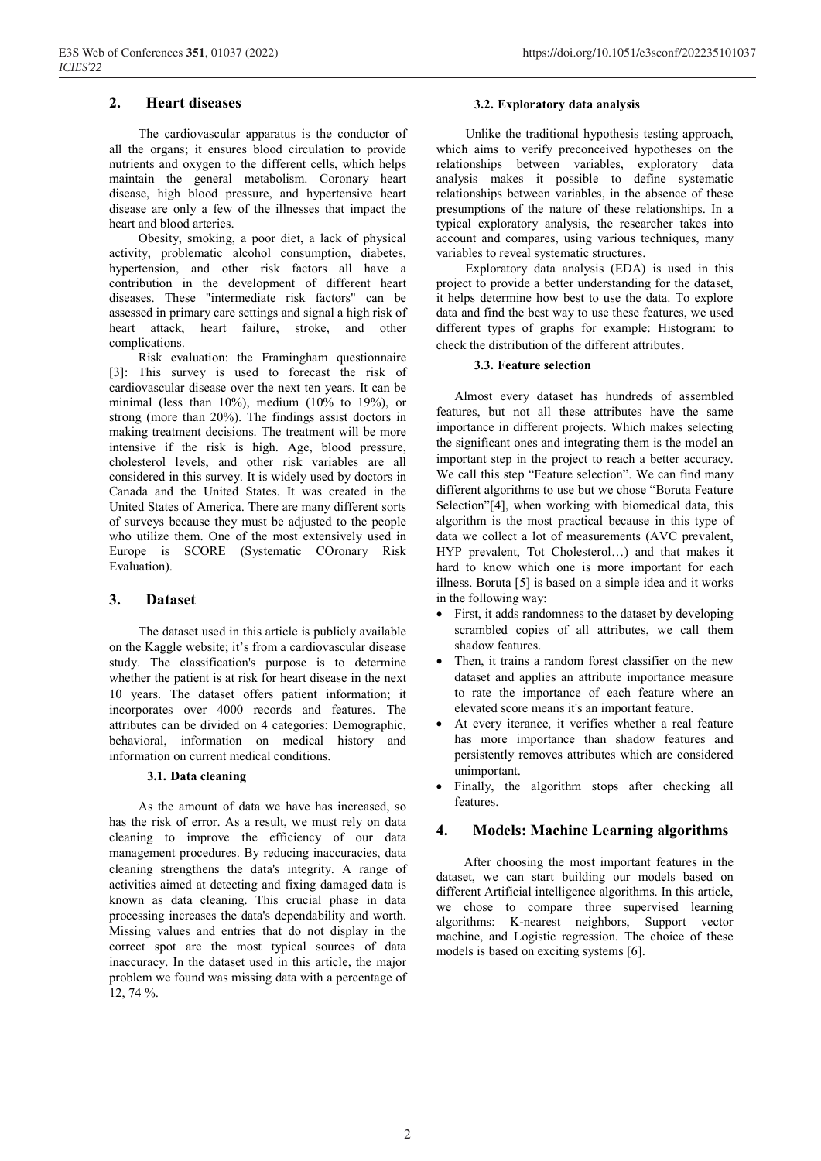## **2. Heart diseases**

The cardiovascular apparatus is the conductor of all the organs; it ensures blood circulation to provide nutrients and oxygen to the different cells, which helps maintain the general metabolism. Coronary heart disease, high blood pressure, and hypertensive heart disease are only a few of the illnesses that impact the heart and blood arteries.

Obesity, smoking, a poor diet, a lack of physical activity, problematic alcohol consumption, diabetes, hypertension, and other risk factors all have a contribution in the development of different heart diseases. These "intermediate risk factors" can be assessed in primary care settings and signal a high risk of heart attack, heart failure, stroke, and other complications.

Risk evaluation: the Framingham questionnaire [3]: This survey is used to forecast the risk of cardiovascular disease over the next ten years. It can be minimal (less than 10%), medium (10% to 19%), or strong (more than 20%). The findings assist doctors in making treatment decisions. The treatment will be more intensive if the risk is high. Age, blood pressure, cholesterol levels, and other risk variables are all considered in this survey. It is widely used by doctors in Canada and the United States. It was created in the United States of America. There are many different sorts of surveys because they must be adjusted to the people who utilize them. One of the most extensively used in Europe is SCORE (Systematic COronary Risk Evaluation).

#### **3. Dataset**

The dataset used in this article is publicly available on the Kaggle website; it's from a cardiovascular disease study. The classification's purpose is to determine whether the patient is at risk for heart disease in the next 10 years. The dataset offers patient information; it incorporates over 4000 records and features. The attributes can be divided on 4 categories: Demographic, behavioral, information on medical history and information on current medical conditions.

#### **3.1. Data cleaning**

As the amount of data we have has increased, so has the risk of error. As a result, we must rely on data cleaning to improve the efficiency of our data management procedures. By reducing inaccuracies, data cleaning strengthens the data's integrity. A range of activities aimed at detecting and fixing damaged data is known as data cleaning. This crucial phase in data processing increases the data's dependability and worth. Missing values and entries that do not display in the correct spot are the most typical sources of data inaccuracy. In the dataset used in this article, the major problem we found was missing data with a percentage of 12, 74 %.

#### **3.2. Exploratory data analysis**

Unlike the traditional hypothesis testing approach, which aims to verify preconceived hypotheses on the relationships between variables, exploratory data analysis makes it possible to define systematic relationships between variables, in the absence of these presumptions of the nature of these relationships. In a typical exploratory analysis, the researcher takes into account and compares, using various techniques, many variables to reveal systematic structures.

Exploratory data analysis (EDA) is used in this project to provide a better understanding for the dataset, it helps determine how best to use the data. To explore data and find the best way to use these features, we used different types of graphs for example: Histogram: to check the distribution of the different attributes.

#### **3.3. Feature selection**

Almost every dataset has hundreds of assembled features, but not all these attributes have the same importance in different projects. Which makes selecting the significant ones and integrating them is the model an important step in the project to reach a better accuracy. We call this step "Feature selection". We can find many different algorithms to use but we chose "Boruta Feature Selection"[4], when working with biomedical data, this algorithm is the most practical because in this type of data we collect a lot of measurements (AVC prevalent, HYP prevalent, Tot Cholesterol…) and that makes it hard to know which one is more important for each illness. Boruta [5] is based on a simple idea and it works in the following way:

- First, it adds randomness to the dataset by developing scrambled copies of all attributes, we call them shadow features.
- Then, it trains a random forest classifier on the new dataset and applies an attribute importance measure to rate the importance of each feature where an elevated score means it's an important feature.
- At every iterance, it verifies whether a real feature has more importance than shadow features and persistently removes attributes which are considered unimportant.
- Finally, the algorithm stops after checking all features.

#### **4. Models: Machine Learning algorithms**

After choosing the most important features in the dataset, we can start building our models based on different Artificial intelligence algorithms. In this article, we chose to compare three supervised learning algorithms: K-nearest neighbors, Support vector machine, and Logistic regression. The choice of these models is based on exciting systems [6].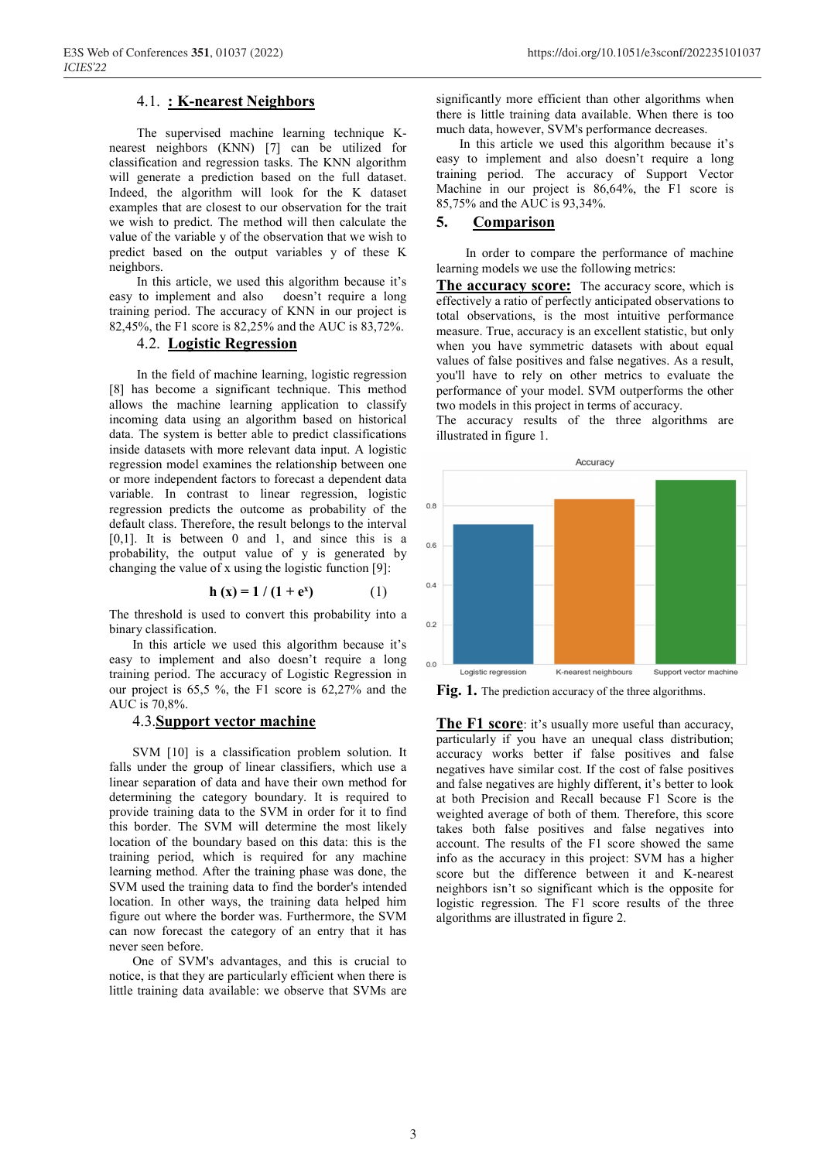## 4.1. **: K-nearest Neighbors**

The supervised machine learning technique Knearest neighbors (KNN) [7] can be utilized for classification and regression tasks. The KNN algorithm will generate a prediction based on the full dataset. Indeed, the algorithm will look for the K dataset examples that are closest to our observation for the trait we wish to predict. The method will then calculate the value of the variable y of the observation that we wish to predict based on the output variables y of these K neighbors.

In this article, we used this algorithm because it's easy to implement and also doesn't require a long training period. The accuracy of KNN in our project is 82,45%, the F1 score is 82,25% and the AUC is 83,72%.

# 4.2. **Logistic Regression**

In the field of machine learning, logistic regression [8] has become a significant technique. This method allows the machine learning application to classify incoming data using an algorithm based on historical data. The system is better able to predict classifications inside datasets with more relevant data input. A logistic regression model examines the relationship between one or more independent factors to forecast a dependent data variable. In contrast to linear regression, logistic regression predicts the outcome as probability of the default class. Therefore, the result belongs to the interval [0,1]. It is between 0 and 1, and since this is a probability, the output value of y is generated by changing the value of x using the logistic function [9]:

$$
h(x) = 1 / (1 + e^x)
$$
 (1)

The threshold is used to convert this probability into a binary classification.

In this article we used this algorithm because it's easy to implement and also doesn't require a long training period. The accuracy of Logistic Regression in our project is 65,5 %, the F1 score is 62,27% and the AUC is 70,8%.

# 4.3.**Support vector machine**

SVM [10] is a classification problem solution. It falls under the group of linear classifiers, which use a linear separation of data and have their own method for determining the category boundary. It is required to provide training data to the SVM in order for it to find this border. The SVM will determine the most likely location of the boundary based on this data: this is the training period, which is required for any machine learning method. After the training phase was done, the SVM used the training data to find the border's intended location. In other ways, the training data helped him figure out where the border was. Furthermore, the SVM can now forecast the category of an entry that it has never seen before.

One of SVM's advantages, and this is crucial to notice, is that they are particularly efficient when there is little training data available: we observe that SVMs are significantly more efficient than other algorithms when there is little training data available. When there is too much data, however, SVM's performance decreases.

In this article we used this algorithm because it's easy to implement and also doesn't require a long training period. The accuracy of Support Vector Machine in our project is 86,64%, the F1 score is 85,75% and the AUC is 93,34%.

### **5. Comparison**

In order to compare the performance of machine learning models we use the following metrics:

**The accuracy score:** The accuracy score, which is effectively a ratio of perfectly anticipated observations to total observations, is the most intuitive performance measure. True, accuracy is an excellent statistic, but only when you have symmetric datasets with about equal values of false positives and false negatives. As a result, you'll have to rely on other metrics to evaluate the performance of your model. SVM outperforms the other two models in this project in terms of accuracy.

The accuracy results of the three algorithms are illustrated in figure 1.



Fig. 1. The prediction accuracy of the three algorithms.

**The F1 score:** it's usually more useful than accuracy, particularly if you have an unequal class distribution; accuracy works better if false positives and false negatives have similar cost. If the cost of false positives and false negatives are highly different, it's better to look at both Precision and Recall because F1 Score is the weighted average of both of them. Therefore, this score takes both false positives and false negatives into account. The results of the F1 score showed the same info as the accuracy in this project: SVM has a higher score but the difference between it and K-nearest neighbors isn't so significant which is the opposite for logistic regression. The F1 score results of the three algorithms are illustrated in figure 2.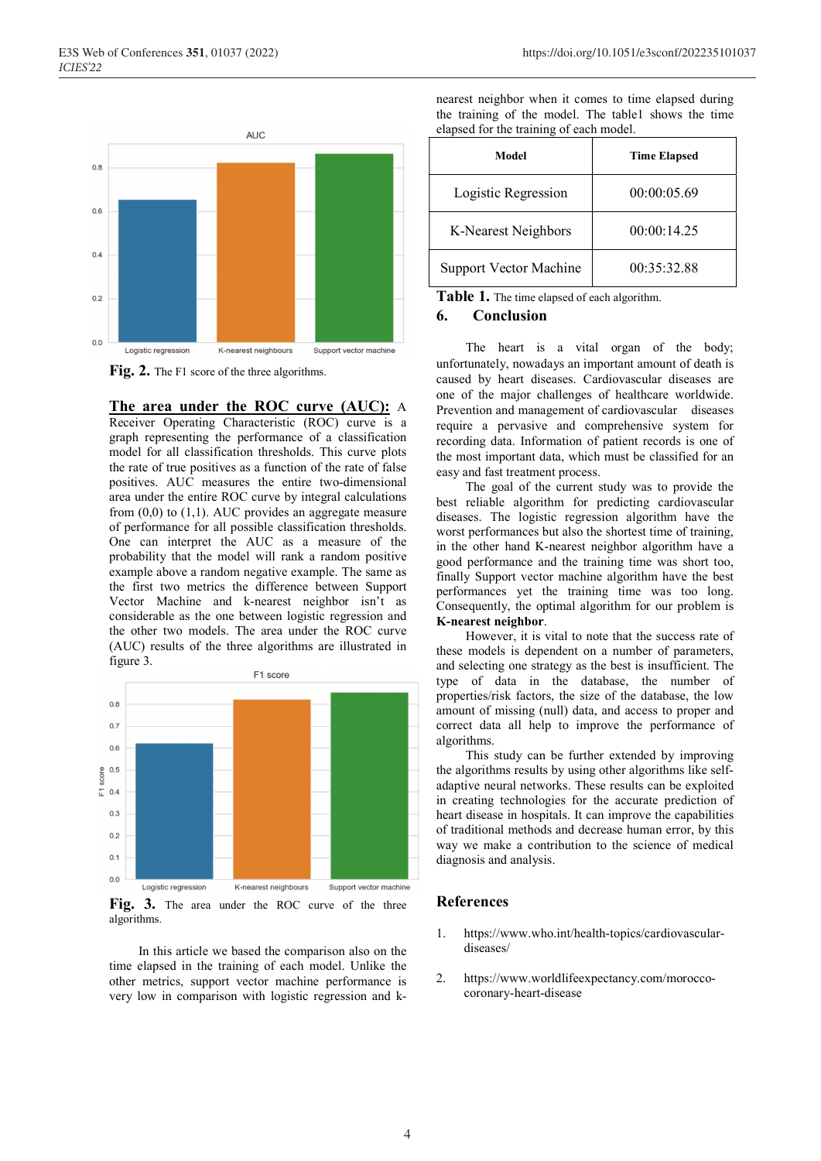

Fig. 2. The F1 score of the three algorithms.

**The area under the ROC curve (AUC):** A Receiver Operating Characteristic (ROC) curve is a graph representing the performance of a classification model for all classification thresholds. This curve plots the rate of true positives as a function of the rate of false positives. AUC measures the entire two-dimensional area under the entire ROC curve by integral calculations from (0,0) to (1,1). AUC provides an aggregate measure of performance for all possible classification thresholds. One can interpret the AUC as a measure of the probability that the model will rank a random positive example above a random negative example. The same as the first two metrics the difference between Support Vector Machine and k-nearest neighbor isn't as considerable as the one between logistic regression and the other two models. The area under the ROC curve (AUC) results of the three algorithms are illustrated in figure 3.



Fig. 3. The area under the ROC curve of the three algorithms.

In this article we based the comparison also on the time elapsed in the training of each model. Unlike the other metrics, support vector machine performance is very low in comparison with logistic regression and k-

|                                         | nearest neighbor when it comes to time elapsed during |  |  |  |  |  |  |  |
|-----------------------------------------|-------------------------------------------------------|--|--|--|--|--|--|--|
|                                         | the training of the model. The table shows the time   |  |  |  |  |  |  |  |
| elapsed for the training of each model. |                                                       |  |  |  |  |  |  |  |

| Model                         | <b>Time Elapsed</b> |
|-------------------------------|---------------------|
| Logistic Regression           | 00:00:05.69         |
| K-Nearest Neighbors           | 00:00:14.25         |
| <b>Support Vector Machine</b> | 00:35:32.88         |

**Table 1.** The time elapsed of each algorithm.

#### **6. Conclusion**

The heart is a vital organ of the body; unfortunately, nowadays an important amount of death is caused by heart diseases. Cardiovascular diseases are one of the major challenges of healthcare worldwide. Prevention and management of cardiovascular diseases require a pervasive and comprehensive system for recording data. Information of patient records is one of the most important data, which must be classified for an easy and fast treatment process.

The goal of the current study was to provide the best reliable algorithm for predicting cardiovascular diseases. The logistic regression algorithm have the worst performances but also the shortest time of training, in the other hand K-nearest neighbor algorithm have a good performance and the training time was short too, finally Support vector machine algorithm have the best performances yet the training time was too long. Consequently, the optimal algorithm for our problem is **K-nearest neighbor**.

However, it is vital to note that the success rate of these models is dependent on a number of parameters, and selecting one strategy as the best is insufficient. The type of data in the database, the number of properties/risk factors, the size of the database, the low amount of missing (null) data, and access to proper and correct data all help to improve the performance of algorithms.

This study can be further extended by improving the algorithms results by using other algorithms like selfadaptive neural networks. These results can be exploited in creating technologies for the accurate prediction of heart disease in hospitals. It can improve the capabilities of traditional methods and decrease human error, by this way we make a contribution to the science of medical diagnosis and analysis.

#### **References**

- 1. https://www.who.int/health-topics/cardiovasculardiseases/
- 2. https://www.worldlifeexpectancy.com/moroccocoronary-heart-disease